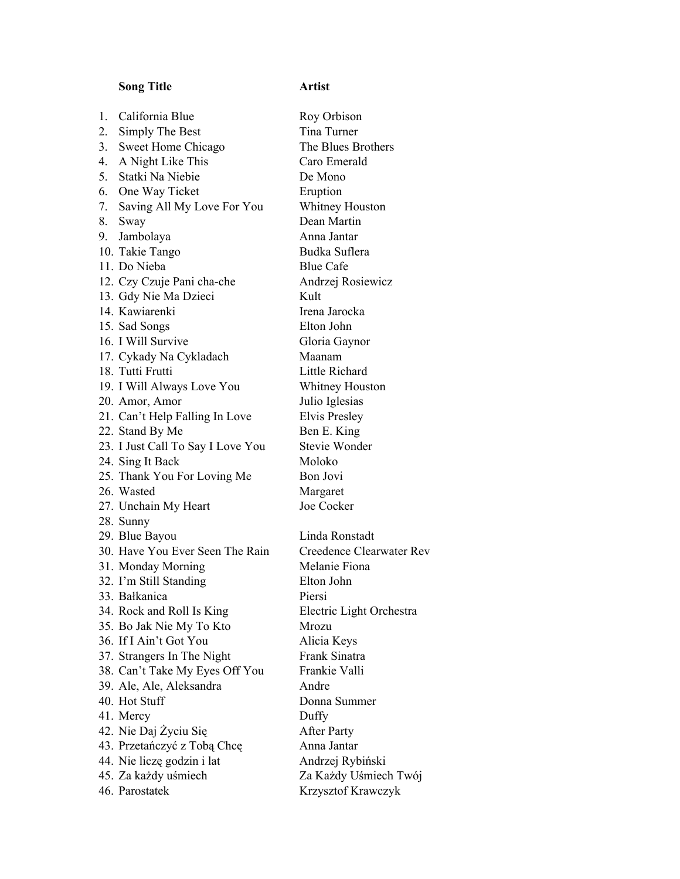## **Song Title Artist**

| 1. | California Blue                   | Roy              |
|----|-----------------------------------|------------------|
| 2. | Simply The Best                   | Tina             |
| 3. | Sweet Home Chicago                | The              |
| 4. | A Night Like This                 | Caro             |
|    | 5. Statki Na Niebie               | De N             |
|    | 6. One Way Ticket                 | Erup             |
| 7. | Saving All My Love For You        | Whit             |
| 8. | Sway                              | Dear             |
|    | 9. Jambolaya                      | Anna             |
|    | 10. Takie Tango                   | Budl             |
|    | 11. Do Nieba                      | Blue             |
|    | 12. Czy Czuje Pani cha-che        | Andı             |
|    | 13. Gdy Nie Ma Dzieci             | Kult             |
|    | 14. Kawiarenki                    | Irena            |
|    | 15. Sad Songs                     | Eltor            |
|    | 16. I Will Survive                | Glor             |
|    | 17. Cykady Na Cykladach           | Maa              |
|    | 18. Tutti Frutti                  | Little           |
|    | 19. I Will Always Love You        | Whit             |
|    | 20. Amor, Amor                    | Julio            |
|    | 21. Can't Help Falling In Love    | Elvis            |
|    | 22. Stand By Me                   | Ben              |
|    | 23. I Just Call To Say I Love You | <b>Stev</b>      |
|    | 24. Sing It Back                  | Molo             |
|    | 25. Thank You For Loving Me       | Bon              |
|    | 26. Wasted                        | Marg             |
|    | 27. Unchain My Heart              | Joe (            |
|    | 28. Sunny                         |                  |
|    | 29. Blue Bayou                    | Lind             |
|    | 30. Have You Ever Seen The Rain   | Cree             |
|    | 31. Monday Morning                | Mela             |
|    | 32. I'm Still Standing            | Eltor            |
|    | 33. Bałkanica                     | Piers            |
|    | 34. Rock and Roll Is King         | Elec             |
|    | 35. Bo Jak Nie My To Kto          | Mro:             |
|    | 36. If I Ain't Got You            | Alici            |
|    | 37. Strangers In The Night        | Fran             |
|    | 38. Can't Take My Eyes Off You    | Fran             |
|    | 39. Ale, Ale, Aleksandra          | Andı             |
|    | 40. Hot Stuff                     | Doni             |
|    | 41. Mercy                         | Duff             |
|    | 42. Nie Daj Życiu Się             | Afte:            |
|    | 43. Przetańczyć z Tobą Chcę       | Anna             |
|    | 44. Nie liczę godzin i lat        | Andı             |
|    | 45. Za każdy uśmiech              | Za K             |
|    | 46 Depended                       | $V_{\text{rav}}$ |

Roy Orbison Tina Turner The Blues Brothers Caro Emerald De Mono **Eruption** Whitney Houston Dean Martin Anna Jantar Budka Suflera Blue Cafe Andrzej Rosiewicz Irena Jarocka Elton John Gloria Gaynor Maanam Little Richard Whitney Houston Julio Iglesias Elvis Presley Ben E. King Stevie Wonder Moloko Bon Jovi Margaret Joe Cocker Linda Ronstadt Creedence Clearwater Rev Melanie Fiona Elton John Piersi Electric Light Orchestra Mrozu Alicia Keys Frank Sinatra Frankie Valli Andre Donna Summer Duffy After Party Anna Jantar Andrzej Rybiński Za Każdy Uśmiech Twój 46. Parostatek Krzysztof Krawczyk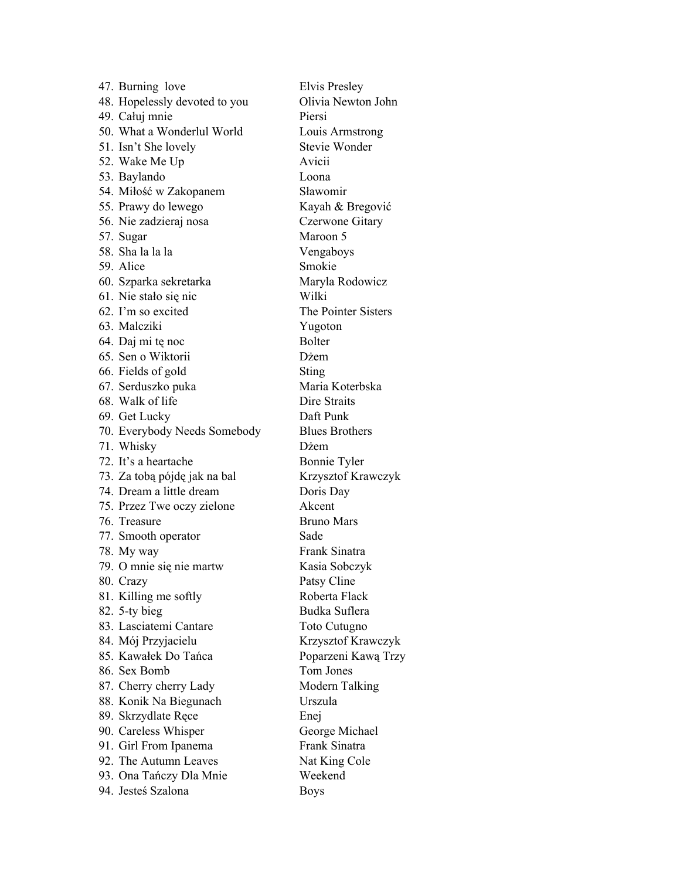47. Burning love Elvis Presley 48. Hopelessly devoted to you Olivia Newton John 49. Całuj mnie Piersi 50. What a Wonderlul World Louis Armstrong 51. Isn't She lovely Stevie Wonder 52. Wake Me Up Avicii 53. Baylando Loona 54. Miłość w Zakopanem Sławomir 55. Prawy do lewego Kayah & Bregović 56. Nie zadzieraj nosa Czerwone Gitary 57. Sugar Maroon 5 58. Sha la la la Vengaboys 59. Alice Smokie 60. Szparka sekretarka Maryla Rodowicz 61. Nie stało się nic Wilki 62. I'm so excited The Pointer Sisters 63. Malcziki Yugoton 64. Daj mi tę noc Bolter 65. Sen o Wiktorii Dżem 66. Fields of gold Sting 67. Serduszko puka Maria Koterbska 68. Walk of life Dire Straits 69. Get Lucky Daft Punk 70. Everybody Needs Somebody Blues Brothers 71. Whisky Dżem 72. It's a heartache Bonnie Tyler 73. Za tobą pójdę jak na bal Krzysztof Krawczyk 74. Dream a little dream Doris Day 75. Przez Twe oczy zielone Akcent 76. Treasure Bruno Mars 77. Smooth operator Sade 78. My way Frank Sinatra 79. O mnie się nie martw Kasia Sobczyk 80. Crazy Patsy Cline 81. Killing me softly Roberta Flack 82. 5-ty bieg Budka Suflera 83. Lasciatemi Cantare Toto Cutugno 84. Mój Przyjacielu Krzysztof Krawczyk 85. Kawałek Do Tańca Poparzeni Kawą Trzy 86. Sex Bomb Tom Jones 87. Cherry cherry Lady Modern Talking 88. Konik Na Biegunach Urszula 89. Skrzydlate Rece Enej 90. Careless Whisper George Michael 91. Girl From Ipanema Frank Sinatra 92. The Autumn Leaves Nat King Cole 93. Ona Tańczy Dla Mnie Weekend 94. Jesteś Szalona Boys